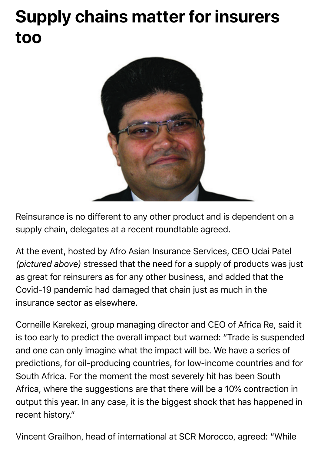## **Supply chains matter for insurers too**



Reinsurance is no different to any other product and is dependent on a supply chain, delegates at a recent roundtable agreed.

At the event, hosted by Afro Asian Insurance Services, CEO Udai Patel *(pictured above)* stressed that the need for a supply of products was just as great for reinsurers as for any other business, and added that the Covid-19 pandemic had damaged that chain just as much in the insurance sector as elsewhere.

Corneille Karekezi, group managing director and CEO of Africa Re, said it is too early to predict the overall impact but warned: "Trade is suspended and one can only imagine what the impact will be. We have a series of predictions, for oil-producing countries, for low-income countries and for South Africa. For the moment the most severely hit has been South Africa, where the suggestions are that there will be a 10% contraction in output this year. In any case, it is the biggest shock that has happened in recent history."

Vincent Grailhon, head of international at SCR Morocco, agreed: "While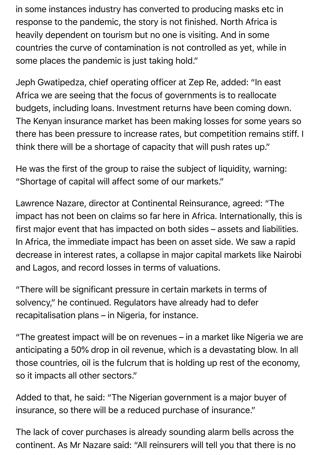in some instances industry has converted to producing masks etc in response to the pandemic, the story is not finished. North Africa is heavily dependent on tourism but no one is visiting. And in some countries the curve of contamination is not controlled as yet, while in some places the pandemic is just taking hold."

Jeph Gwatipedza, chief operating officer at Zep Re, added: "In east Africa we are seeing that the focus of governments is to reallocate budgets, including loans. Investment returns have been coming down. The Kenyan insurance market has been making losses for some years so there has been pressure to increase rates, but competition remains stiff. I think there will be a shortage of capacity that will push rates up."

He was the first of the group to raise the subject of liquidity, warning: "Shortage of capital will affect some of our markets."

Lawrence Nazare, director at Continental Reinsurance, agreed: "The impact has not been on claims so far here in Africa. Internationally, this is first major event that has impacted on both sides – assets and liabilities. In Africa, the immediate impact has been on asset side. We saw a rapid decrease in interest rates, a collapse in major capital markets like Nairobi and Lagos, and record losses in terms of valuations.

"There will be significant pressure in certain markets in terms of solvency," he continued. Regulators have already had to defer recapitalisation plans – in Nigeria, for instance.

"The greatest impact will be on revenues – in a market like Nigeria we are anticipating a 50% drop in oil revenue, which is a devastating blow. In all those countries, oil is the fulcrum that is holding up rest of the economy, so it impacts all other sectors."

Added to that, he said: "The Nigerian government is a major buyer of insurance, so there will be a reduced purchase of insurance."

The lack of cover purchases is already sounding alarm bells across the continent. As Mr Nazare said: "All reinsurers will tell you that there is no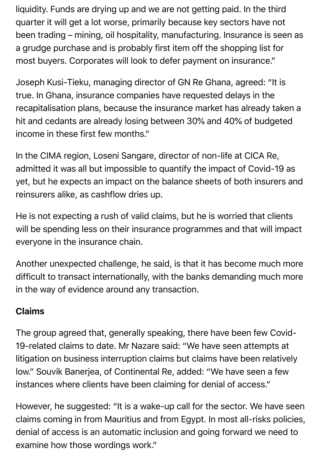liquidity. Funds are drying up and we are not getting paid. In the third quarter it will get a lot worse, primarily because key sectors have not been trading – mining, oil hospitality, manufacturing. Insurance is seen as a grudge purchase and is probably first item off the shopping list for most buyers. Corporates will look to defer payment on insurance."

Joseph Kusi-Tieku, managing director of GN Re Ghana, agreed: "It is true. In Ghana, insurance companies have requested delays in the recapitalisation plans, because the insurance market has already taken a hit and cedants are already losing between 30% and 40% of budgeted income in these first few months."

In the CIMA region, Loseni Sangare, director of non-life at CICA Re, admitted it was all but impossible to quantify the impact of Covid-19 as yet, but he expects an impact on the balance sheets of both insurers and reinsurers alike, as cashflow dries up.

He is not expecting a rush of valid claims, but he is worried that clients will be spending less on their insurance programmes and that will impact everyone in the insurance chain.

Another unexpected challenge, he said, is that it has become much more difficult to transact internationally, with the banks demanding much more in the way of evidence around any transaction.

## Claims

The group agreed that, generally speaking, there have been few Covid-19-related claims to date. Mr Nazare said: "We have seen attempts at litigation on business interruption claims but claims have been relatively low." Souvik Banerjea, of Continental Re, added: "We have seen a few instances where clients have been claiming for denial of access."

However, he suggested: "It is a wake-up call for the sector. We have seen claims coming in from Mauritius and from Egypt. In most all-risks policies, denial of access is an automatic inclusion and going forward we need to examine how those wordings work."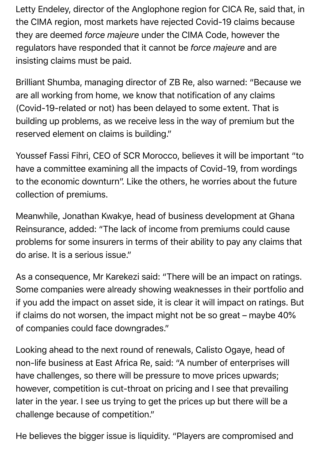Letty Endeley, director of the Anglophone region for CICA Re, said that, in the CIMA region, most markets have rejected Covid-19 claims because they are deemed *force majeure* under the CIMA Code, however the regulators have responded that it cannot be *force majeure* and are insisting claims must be paid.

Brilliant Shumba, managing director of ZB Re, also warned: "Because we are all working from home, we know that notification of any claims (Covid-19-related or not) has been delayed to some extent. That is building up problems, as we receive less in the way of premium but the reserved element on claims is building."

Youssef Fassi Fihri, CEO of SCR Morocco, believes it will be important "to have a committee examining all the impacts of Covid-19, from wordings to the economic downturn". Like the others, he worries about the future collection of premiums.

Meanwhile, Jonathan Kwakye, head of business development at Ghana Reinsurance, added: "The lack of income from premiums could cause problems for some insurers in terms of their ability to pay any claims that do arise. It is a serious issue."

As a consequence, Mr Karekezi said: "There will be an impact on ratings. Some companies were already showing weaknesses in their portfolio and if you add the impact on asset side, it is clear it will impact on ratings. But if claims do not worsen, the impact might not be so great – maybe 40% of companies could face downgrades."

Looking ahead to the next round of renewals, Calisto Ogaye, head of non-life business at East Africa Re, said: "A number of enterprises will have challenges, so there will be pressure to move prices upwards; however, competition is cut-throat on pricing and I see that prevailing later in the year. I see us trying to get the prices up but there will be a challenge because of competition."

He believes the bigger issue is liquidity. "Players are compromised and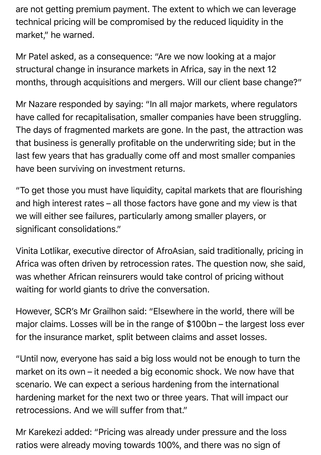are not getting premium payment. The extent to which we can leverage technical pricing will be compromised by the reduced liquidity in the market," he warned.

Mr Patel asked, as a consequence: "Are we now looking at a major structural change in insurance markets in Africa, say in the next 12 months, through acquisitions and mergers. Will our client base change?"

Mr Nazare responded by saying: "In all major markets, where regulators have called for recapitalisation, smaller companies have been struggling. The days of fragmented markets are gone. In the past, the attraction was that business is generally profitable on the underwriting side; but in the last few years that has gradually come off and most smaller companies have been surviving on investment returns.

"To get those you must have liquidity, capital markets that are flourishing and high interest rates – all those factors have gone and my view is that we will either see failures, particularly among smaller players, or significant consolidations."

Vinita Lotlikar, executive director of AfroAsian, said traditionally, pricing in Africa was often driven by retrocession rates. The question now, she said, was whether African reinsurers would take control of pricing without waiting for world giants to drive the conversation.

However, SCR's Mr Grailhon said: "Elsewhere in the world, there will be major claims. Losses will be in the range of \$100bn – the largest loss ever for the insurance market, split between claims and asset losses.

"Until now, everyone has said a big loss would not be enough to turn the market on its own – it needed a big economic shock. We now have that scenario. We can expect a serious hardening from the international hardening market for the next two or three years. That will impact our retrocessions. And we will suffer from that."

Mr Karekezi added: "Pricing was already under pressure and the loss ratios were already moving towards 100%, and there was no sign of